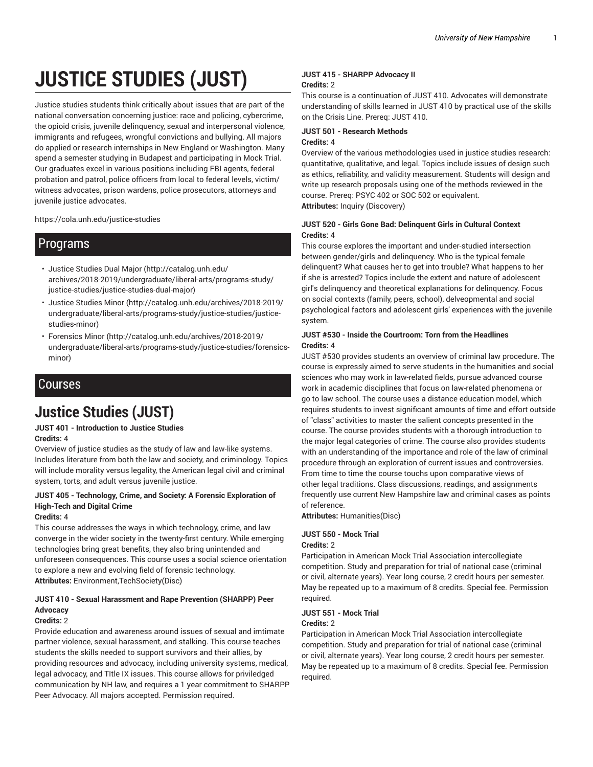# **JUSTICE STUDIES (JUST)**

Justice studies students think critically about issues that are part of the national conversation concerning justice: race and policing, cybercrime, the opioid crisis, juvenile delinquency, sexual and interpersonal violence, immigrants and refugees, wrongful convictions and bullying. All majors do applied or research internships in New England or Washington. Many spend a semester studying in Budapest and participating in Mock Trial. Our graduates excel in various positions including FBI agents, federal probation and patrol, police officers from local to federal levels, victim/ witness advocates, prison wardens, police prosecutors, attorneys and juvenile justice advocates.

https://cola.unh.edu/justice-studies

# Programs

- Justice Studies Dual Major (http://catalog.unh.edu/ archives/2018-2019/undergraduate/liberal-arts/programs-study/ justice-studies/justice-studies-dual-major)
- Justice Studies Minor (http://catalog.unh.edu/archives/2018-2019/ undergraduate/liberal-arts/programs-study/justice-studies/justicestudies-minor)
- Forensics Minor (http://catalog.unh.edu/archives/2018-2019/ undergraduate/liberal-arts/programs-study/justice-studies/forensicsminor)

# Courses

# **Justice Studies (JUST)**

# **JUST 401 - Introduction to Justice Studies Credits:** 4

Overview of justice studies as the study of law and law-like systems. Includes literature from both the law and society, and criminology. Topics will include morality versus legality, the American legal civil and criminal system, torts, and adult versus juvenile justice.

# **JUST 405 - Technology, Crime, and Society: A Forensic Exploration of High-Tech and Digital Crime**

# **Credits:** 4

This course addresses the ways in which technology, crime, and law converge in the wider society in the twenty-first century. While emerging technologies bring great benefits, they also bring unintended and unforeseen consequences. This course uses a social science orientation to explore a new and evolving field of forensic technology. **Attributes:** Environment,TechSociety(Disc)

# **JUST 410 - Sexual Harassment and Rape Prevention (SHARPP) Peer Advocacy**

# **Credits:** 2

Provide education and awareness around issues of sexual and imtimate partner violence, sexual harassment, and stalking. This course teaches students the skills needed to support survivors and their allies, by providing resources and advocacy, including university systems, medical, legal advocacy, and TItle IX issues. This course allows for priviledged communication by NH law, and requires a 1 year commitment to SHARPP Peer Advocacy. All majors accepted. Permission required.

## **JUST 415 - SHARPP Advocacy II Credits:** 2

This course is a continuation of JUST 410. Advocates will demonstrate understanding of skills learned in JUST 410 by practical use of the skills on the Crisis Line. Prereq: JUST 410.

#### **JUST 501 - Research Methods Credits:** 4

Overview of the various methodologies used in justice studies research: quantitative, qualitative, and legal. Topics include issues of design such as ethics, reliability, and validity measurement. Students will design and write up research proposals using one of the methods reviewed in the course. Prereq: PSYC 402 or SOC 502 or equivalent. **Attributes:** Inquiry (Discovery)

# **JUST 520 - Girls Gone Bad: Delinquent Girls in Cultural Context Credits:** 4

This course explores the important and under-studied intersection between gender/girls and delinquency. Who is the typical female delinquent? What causes her to get into trouble? What happens to her if she is arrested? Topics include the extent and nature of adolescent girl's delinquency and theoretical explanations for delinquency. Focus on social contexts (family, peers, school), delveopmental and social psychological factors and adolescent girls' experiences with the juvenile system.

## **JUST #530 - Inside the Courtroom: Torn from the Headlines Credits:** 4

JUST #530 provides students an overview of criminal law procedure. The course is expressly aimed to serve students in the humanities and social sciences who may work in law-related fields, pursue advanced course work in academic disciplines that focus on law-related phenomena or go to law school. The course uses a distance education model, which requires students to invest significant amounts of time and effort outside of "class" activities to master the salient concepts presented in the course. The course provides students with a thorough introduction to the major legal categories of crime. The course also provides students with an understanding of the importance and role of the law of criminal procedure through an exploration of current issues and controversies. From time to time the course touchs upon comparative views of other legal traditions. Class discussions, readings, and assignments frequently use current New Hampshire law and criminal cases as points of reference.

**Attributes:** Humanities(Disc)

# **JUST 550 - Mock Trial**

# **Credits:** 2

Participation in American Mock Trial Association intercollegiate competition. Study and preparation for trial of national case (criminal or civil, alternate years). Year long course, 2 credit hours per semester. May be repeated up to a maximum of 8 credits. Special fee. Permission required.

## **JUST 551 - Mock Trial Credits:** 2

Participation in American Mock Trial Association intercollegiate competition. Study and preparation for trial of national case (criminal or civil, alternate years). Year long course, 2 credit hours per semester. May be repeated up to a maximum of 8 credits. Special fee. Permission required.